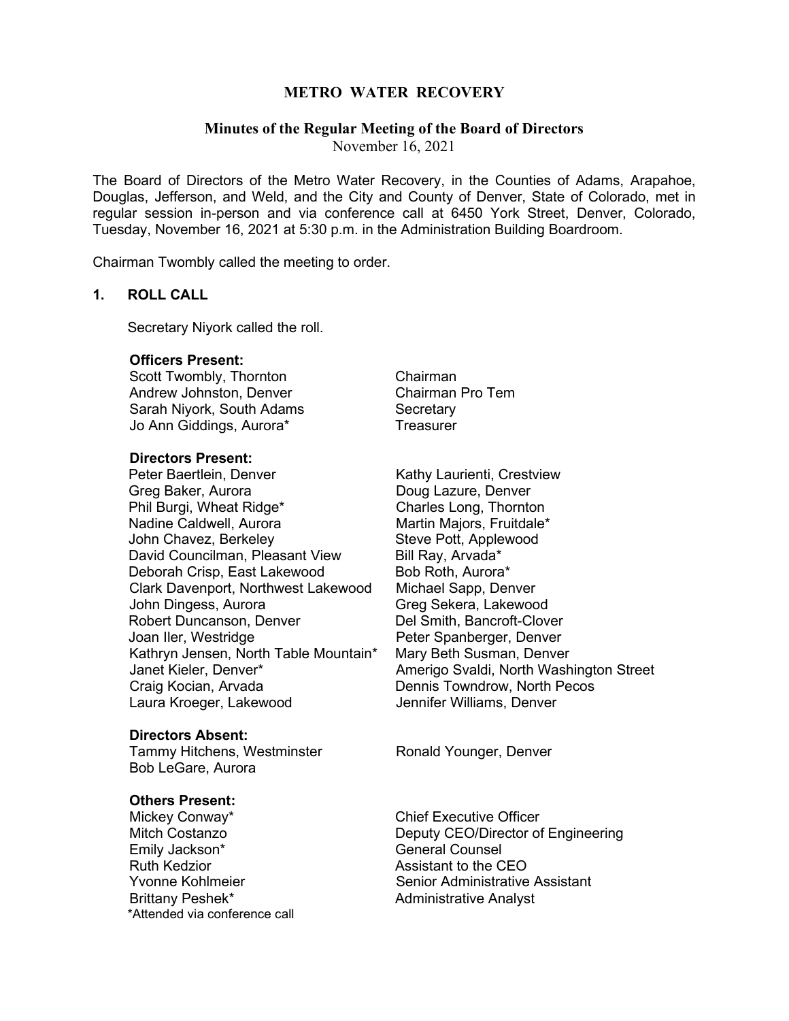# **METRO WATER RECOVERY**

#### **Minutes of the Regular Meeting of the Board of Directors**

November 16, 2021

The Board of Directors of the Metro Water Recovery, in the Counties of Adams, Arapahoe, Douglas, Jefferson, and Weld, and the City and County of Denver, State of Colorado, met in regular session in-person and via conference call at 6450 York Street, Denver, Colorado, Tuesday, November 16, 2021 at 5:30 p.m. in the Administration Building Boardroom.

Chairman Twombly called the meeting to order.

#### **1. ROLL CALL**

Secretary Niyork called the roll.

#### **Officers Present:**

Scott Twombly, Thornton Chairman Andrew Johnston, Denver Sarah Niyork, South Adams Secretary Jo Ann Giddings, Aurora\* Treasurer

#### **Directors Present:**

Peter Baertlein, Denver **Kathy Laurienti, Crestview** Greg Baker, Aurora Doug Lazure, Denver Phil Burgi, Wheat Ridge\* Nadine Caldwell, Aurora<br>
John Chavez, Berkeley Steve Pott, Applewood John Chavez, Berkeley David Councilman, Pleasant View Bill Ray, Arvada\* Deborah Crisp, East Lakewood Bob Roth, Aurora\* Clark Davenport, Northwest Lakewood Michael Sapp, Denver John Dingess, Aurora Greeg Sekera, Lakewood Robert Duncanson, Denver Del Smith, Bancroft-Clover Kathryn Jensen, North Table Mountain\* Craig Kocian, Arvada Dennis Towndrow, North Pecos Laura Kroeger, Lakewood

#### **Directors Absent:**

Tammy Hitchens, Westminster **Ronald Younger, Denver** Bob LeGare, Aurora

#### **Others Present:**

Mickey Conway\* Chief Executive Officer Emily Jackson\* General Counsel Brittany Peshek\* Administrative Analyst \*Attended via conference call

Peter Spanberger, Denver<br>Mary Beth Susman, Denver Janet Kieler, Denver\* Amerigo Svaldi, North Washington Street

Mitch Costanzo **Deputy CEO/Director of Engineering** Assistant to the CEO Yvonne Kohlmeier Senior Administrative Assistant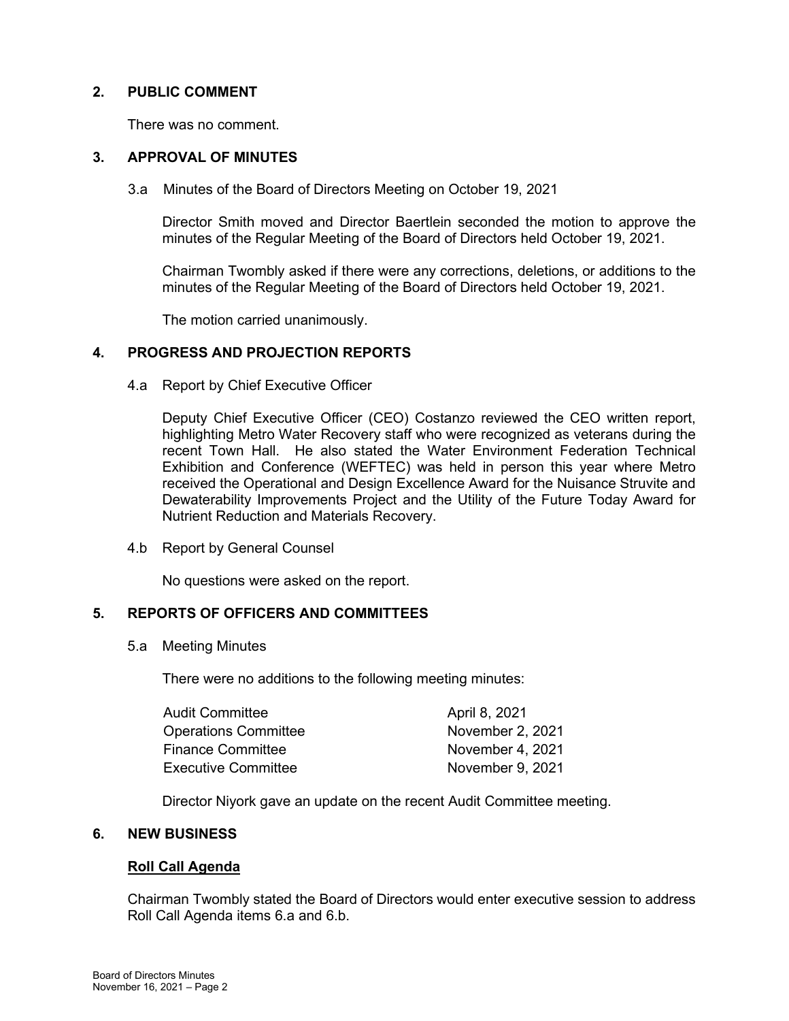# **2. PUBLIC COMMENT**

There was no comment.

## **3. APPROVAL OF MINUTES**

3.a Minutes of the Board of Directors Meeting on October 19, 2021

Director Smith moved and Director Baertlein seconded the motion to approve the minutes of the Regular Meeting of the Board of Directors held October 19, 2021.

Chairman Twombly asked if there were any corrections, deletions, or additions to the minutes of the Regular Meeting of the Board of Directors held October 19, 2021.

The motion carried unanimously.

## **4. PROGRESS AND PROJECTION REPORTS**

4.a Report by Chief Executive Officer

Deputy Chief Executive Officer (CEO) Costanzo reviewed the CEO written report, highlighting Metro Water Recovery staff who were recognized as veterans during the recent Town Hall. He also stated the Water Environment Federation Technical Exhibition and Conference (WEFTEC) was held in person this year where Metro received the Operational and Design Excellence Award for the Nuisance Struvite and Dewaterability Improvements Project and the Utility of the Future Today Award for Nutrient Reduction and Materials Recovery.

4.b Report by General Counsel

No questions were asked on the report.

## **5. REPORTS OF OFFICERS AND COMMITTEES**

5.a Meeting Minutes

There were no additions to the following meeting minutes:

| Audit Committee             | April 8, 2021    |
|-----------------------------|------------------|
| <b>Operations Committee</b> | November 2, 2021 |
| Finance Committee           | November 4, 2021 |
| Executive Committee         | November 9, 2021 |

Director Niyork gave an update on the recent Audit Committee meeting.

## **6. NEW BUSINESS**

## **Roll Call Agenda**

Chairman Twombly stated the Board of Directors would enter executive session to address Roll Call Agenda items 6.a and 6.b.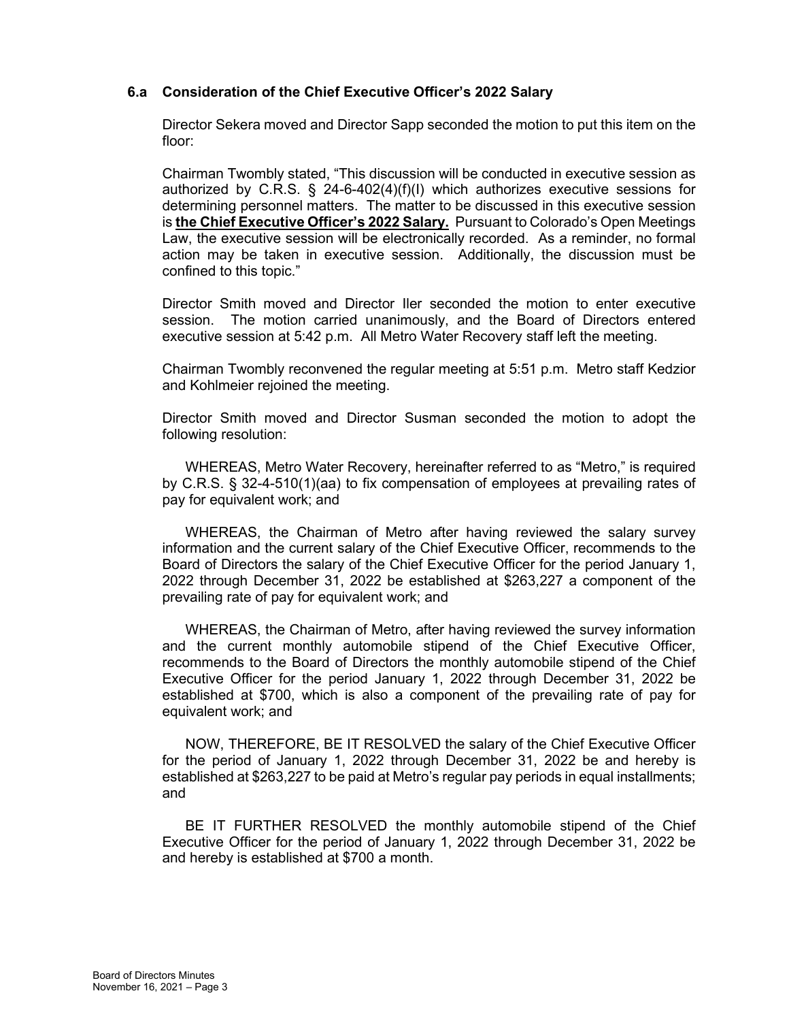# **6.a Consideration of the Chief Executive Officer's 2022 Salary**

Director Sekera moved and Director Sapp seconded the motion to put this item on the floor:

Chairman Twombly stated, "This discussion will be conducted in executive session as authorized by C.R.S. § 24-6-402(4)(f)(I) which authorizes executive sessions for determining personnel matters. The matter to be discussed in this executive session is **the Chief Executive Officer's 2022 Salary.** Pursuant to Colorado's Open Meetings Law, the executive session will be electronically recorded. As a reminder, no formal action may be taken in executive session. Additionally, the discussion must be confined to this topic."

Director Smith moved and Director Iler seconded the motion to enter executive session. The motion carried unanimously, and the Board of Directors entered executive session at 5:42 p.m. All Metro Water Recovery staff left the meeting.

Chairman Twombly reconvened the regular meeting at 5:51 p.m. Metro staff Kedzior and Kohlmeier rejoined the meeting.

Director Smith moved and Director Susman seconded the motion to adopt the following resolution:

WHEREAS, Metro Water Recovery, hereinafter referred to as "Metro," is required by C.R.S. § 32-4-510(1)(aa) to fix compensation of employees at prevailing rates of pay for equivalent work; and

WHEREAS, the Chairman of Metro after having reviewed the salary survey information and the current salary of the Chief Executive Officer, recommends to the Board of Directors the salary of the Chief Executive Officer for the period January 1, 2022 through December 31, 2022 be established at \$263,227 a component of the prevailing rate of pay for equivalent work; and

WHEREAS, the Chairman of Metro, after having reviewed the survey information and the current monthly automobile stipend of the Chief Executive Officer, recommends to the Board of Directors the monthly automobile stipend of the Chief Executive Officer for the period January 1, 2022 through December 31, 2022 be established at \$700, which is also a component of the prevailing rate of pay for equivalent work; and

NOW, THEREFORE, BE IT RESOLVED the salary of the Chief Executive Officer for the period of January 1, 2022 through December 31, 2022 be and hereby is established at \$263,227 to be paid at Metro's regular pay periods in equal installments; and

BE IT FURTHER RESOLVED the monthly automobile stipend of the Chief Executive Officer for the period of January 1, 2022 through December 31, 2022 be and hereby is established at \$700 a month.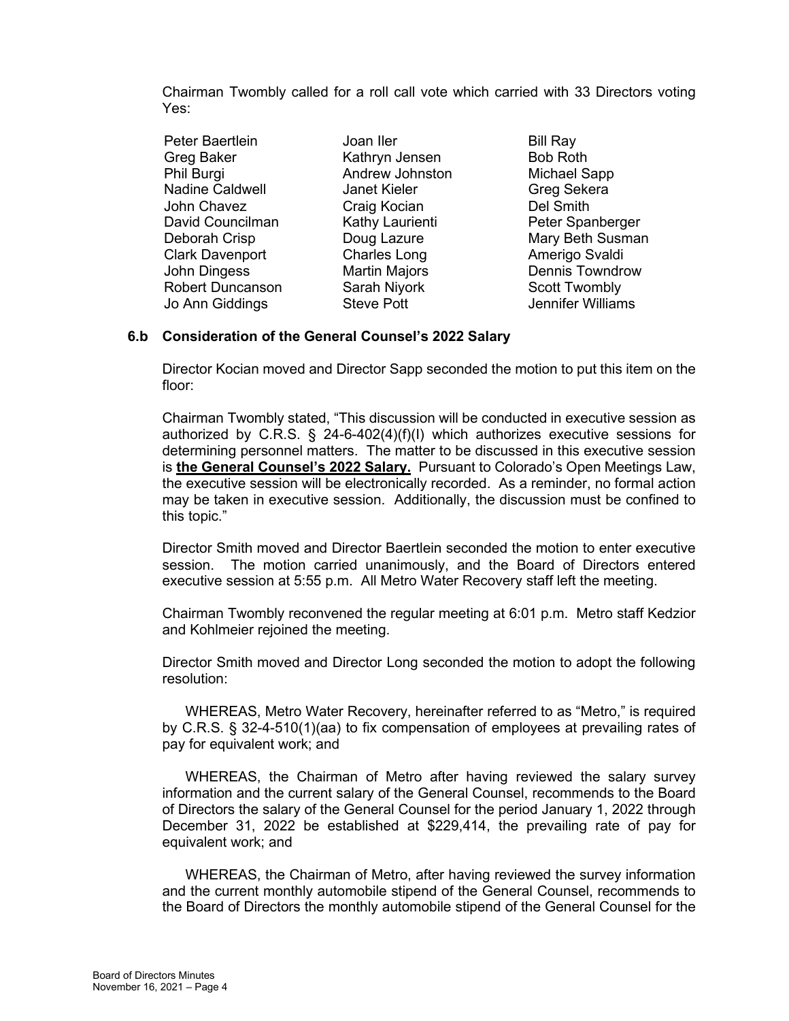Chairman Twombly called for a roll call vote which carried with 33 Directors voting Yes:

| Peter Baertlein         | Joan Iler            | <b>Bill Ray</b>        |
|-------------------------|----------------------|------------------------|
| <b>Greg Baker</b>       | Kathryn Jensen       | <b>Bob Roth</b>        |
| Phil Burgi              | Andrew Johnston      | <b>Michael Sapp</b>    |
| <b>Nadine Caldwell</b>  | Janet Kieler         | Greg Sekera            |
| John Chavez             | Craig Kocian         | Del Smith              |
| David Councilman        | Kathy Laurienti      | Peter Spanberger       |
| Deborah Crisp           | Doug Lazure          | Mary Beth Susman       |
| <b>Clark Davenport</b>  | <b>Charles Long</b>  | Amerigo Svaldi         |
| John Dingess            | <b>Martin Majors</b> | <b>Dennis Towndrow</b> |
| <b>Robert Duncanson</b> | Sarah Niyork         | <b>Scott Twombly</b>   |
| Jo Ann Giddings         | <b>Steve Pott</b>    | Jennifer Williams      |
|                         |                      |                        |

# **6.b Consideration of the General Counsel's 2022 Salary**

Director Kocian moved and Director Sapp seconded the motion to put this item on the floor:

Chairman Twombly stated, "This discussion will be conducted in executive session as authorized by C.R.S. § 24-6-402(4)(f)(I) which authorizes executive sessions for determining personnel matters. The matter to be discussed in this executive session is **the General Counsel's 2022 Salary.** Pursuant to Colorado's Open Meetings Law, the executive session will be electronically recorded. As a reminder, no formal action may be taken in executive session. Additionally, the discussion must be confined to this topic."

Director Smith moved and Director Baertlein seconded the motion to enter executive session. The motion carried unanimously, and the Board of Directors entered executive session at 5:55 p.m. All Metro Water Recovery staff left the meeting.

Chairman Twombly reconvened the regular meeting at 6:01 p.m. Metro staff Kedzior and Kohlmeier rejoined the meeting.

Director Smith moved and Director Long seconded the motion to adopt the following resolution:

WHEREAS, Metro Water Recovery, hereinafter referred to as "Metro," is required by C.R.S. § 32-4-510(1)(aa) to fix compensation of employees at prevailing rates of pay for equivalent work; and

WHEREAS, the Chairman of Metro after having reviewed the salary survey information and the current salary of the General Counsel, recommends to the Board of Directors the salary of the General Counsel for the period January 1, 2022 through December 31, 2022 be established at \$229,414, the prevailing rate of pay for equivalent work; and

WHEREAS, the Chairman of Metro, after having reviewed the survey information and the current monthly automobile stipend of the General Counsel, recommends to the Board of Directors the monthly automobile stipend of the General Counsel for the